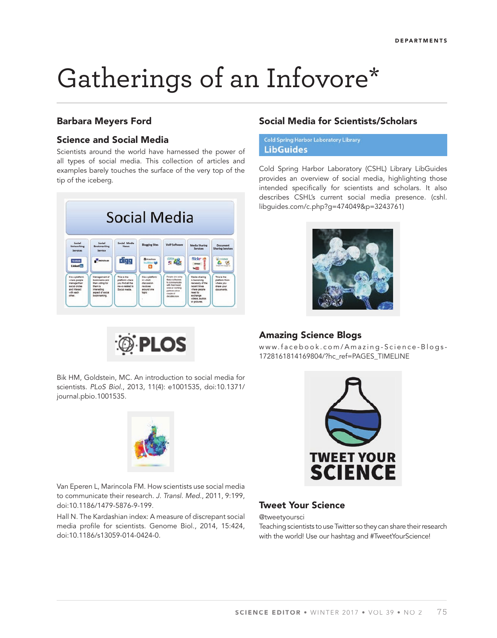# Gatherings of an Infovore\*

### **Barbara Meyers Ford**

## **Science and Social Media**

Scientists around the world have harnessed the power of all types of social media. This collection of articles and examples barely touches the surface of the very top of the tip of the iceberg.





#### **Social Media for Scientists/Scholars**

**Cold Spring Harbor Laboratory Library LibGuides** 

Cold Spring Harbor Laboratory (CSHL) Library LibGuides provides an overview of social media, highlighting those intended specifically for scientists and scholars. It also describes CSHL's current social media presence. (cshl. libguides.com/c.php?g=474049&p=3243761)



#### **Amazing Science Blogs**

www.facebook.com/Amazing-Science-Blogs-1728161814169804/?hc\_ref=PAGES\_TIMELINE

Van Eperen L, Marincola FM. How scientists use social media

to communicate their research. J. Transl. Med., 2011, 9:199, doi:10.1186/1479-5876-9-199.

Hall N. The Kardashian index: A measure of discrepant social media profile for scientists. Genome Biol., 2014, 15:424, doi:10.1186/s13059-014-0424-0.



# **Tweet Your Science**

@tweetyoursci

Teaching scientists to use Twitter so they can share their research with the world! Use our hashtag and #TweetYourScience!

Bik HM, Goldstein, MC. An introduction to social media for scientists. PLoS Biol., 2013, 11(4): e1001535, doi:10.1371/ journal.pbio.1001535.